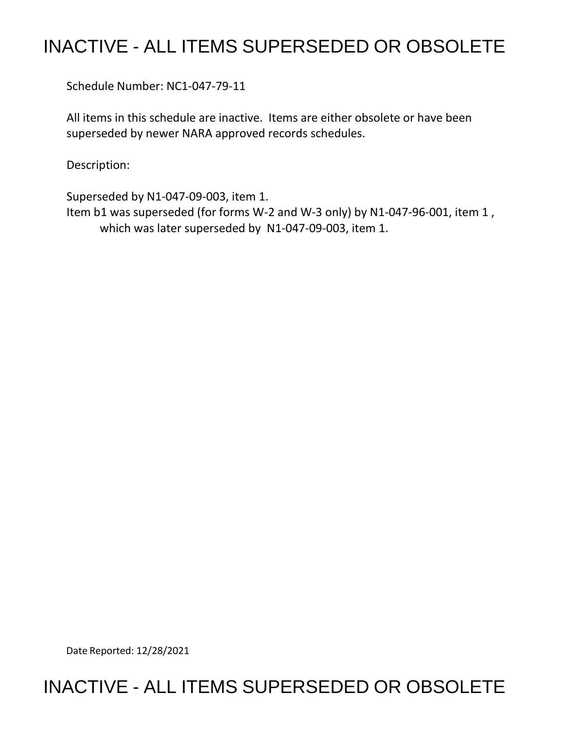## INACTIVE - ALL ITEMS SUPERSEDED OR OBSOLETE

Schedule Number: NC1-047-79-11

 All items in this schedule are inactive. Items are either obsolete or have been superseded by newer NARA approved records schedules.

Description:

 Superseded by N1-047-09-003, item 1. Item b1 was superseded (for forms W-2 and W-3 only) by N1-047-96-001, item 1 , which was later superseded by N1-047-09-003, item 1.

Date Reported: 12/28/2021

## INACTIVE - ALL ITEMS SUPERSEDED OR OBSOLETE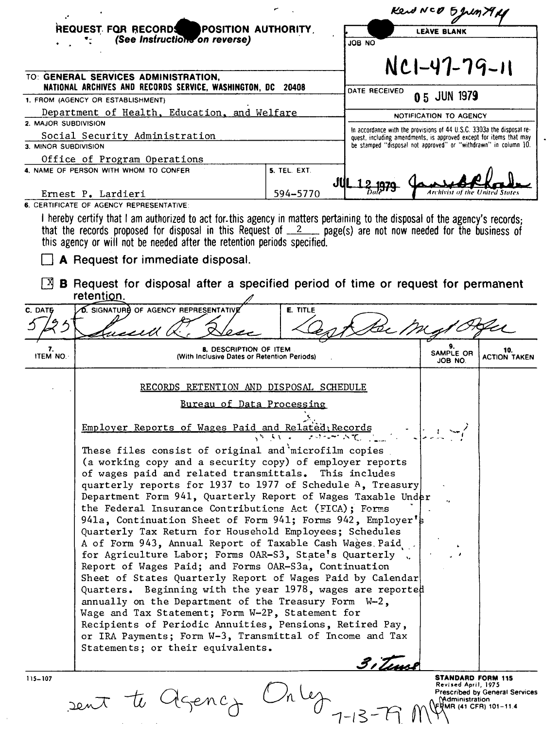|                                                                                 |                                                                                                                                                                                                                                                                                                                                                                                                                                                                                                                                                                                                                                                                                                                                                                                                                                                                                                                                                                                                                                                                               |                                                                 | Kend NCO 5 Juny    |                                                                                              |                                                                                                                                             |  |
|---------------------------------------------------------------------------------|-------------------------------------------------------------------------------------------------------------------------------------------------------------------------------------------------------------------------------------------------------------------------------------------------------------------------------------------------------------------------------------------------------------------------------------------------------------------------------------------------------------------------------------------------------------------------------------------------------------------------------------------------------------------------------------------------------------------------------------------------------------------------------------------------------------------------------------------------------------------------------------------------------------------------------------------------------------------------------------------------------------------------------------------------------------------------------|-----------------------------------------------------------------|--------------------|----------------------------------------------------------------------------------------------|---------------------------------------------------------------------------------------------------------------------------------------------|--|
| REQUEST FOR RECORDS<br>POSITION AUTHORITY                                       |                                                                                                                                                                                                                                                                                                                                                                                                                                                                                                                                                                                                                                                                                                                                                                                                                                                                                                                                                                                                                                                                               |                                                                 | <b>LEAVE BLANK</b> |                                                                                              |                                                                                                                                             |  |
|                                                                                 | (See Instructions on reverse)                                                                                                                                                                                                                                                                                                                                                                                                                                                                                                                                                                                                                                                                                                                                                                                                                                                                                                                                                                                                                                                 |                                                                 | <b>ON 80L</b>      |                                                                                              |                                                                                                                                             |  |
|                                                                                 |                                                                                                                                                                                                                                                                                                                                                                                                                                                                                                                                                                                                                                                                                                                                                                                                                                                                                                                                                                                                                                                                               |                                                                 |                    |                                                                                              |                                                                                                                                             |  |
|                                                                                 | TO: GENERAL SERVICES ADMINISTRATION,                                                                                                                                                                                                                                                                                                                                                                                                                                                                                                                                                                                                                                                                                                                                                                                                                                                                                                                                                                                                                                          |                                                                 |                    | NC1-47-79-11                                                                                 |                                                                                                                                             |  |
| NATIONAL ARCHIVES AND RECORDS SERVICE, WASHINGTON, DC<br>20408<br>DATE RECEIVED |                                                                                                                                                                                                                                                                                                                                                                                                                                                                                                                                                                                                                                                                                                                                                                                                                                                                                                                                                                                                                                                                               |                                                                 |                    |                                                                                              |                                                                                                                                             |  |
| 1. FROM (AGENCY OR ESTABLISHMENT)                                               | 0 5 JUN 1979                                                                                                                                                                                                                                                                                                                                                                                                                                                                                                                                                                                                                                                                                                                                                                                                                                                                                                                                                                                                                                                                  |                                                                 |                    |                                                                                              |                                                                                                                                             |  |
| Department of Health, Education, and Welfare                                    | NOTIFICATION TO AGENCY                                                                                                                                                                                                                                                                                                                                                                                                                                                                                                                                                                                                                                                                                                                                                                                                                                                                                                                                                                                                                                                        |                                                                 |                    |                                                                                              |                                                                                                                                             |  |
| 2. MAJOR SUBDIVISION<br>Social Security Administration                          |                                                                                                                                                                                                                                                                                                                                                                                                                                                                                                                                                                                                                                                                                                                                                                                                                                                                                                                                                                                                                                                                               |                                                                 |                    |                                                                                              | In accordance with the provisions of 44 U.S.C. 3303a the disposal re-<br>quest, including amendments, is approved except for items that may |  |
| 3. MINOR SUBDIVISION                                                            |                                                                                                                                                                                                                                                                                                                                                                                                                                                                                                                                                                                                                                                                                                                                                                                                                                                                                                                                                                                                                                                                               | be stamped "disposal not approved" or "withdrawn" in column 10. |                    |                                                                                              |                                                                                                                                             |  |
|                                                                                 | Office of Program Operations                                                                                                                                                                                                                                                                                                                                                                                                                                                                                                                                                                                                                                                                                                                                                                                                                                                                                                                                                                                                                                                  |                                                                 |                    |                                                                                              |                                                                                                                                             |  |
|                                                                                 | 4. NAME OF PERSON WITH WHOM TO CONFER                                                                                                                                                                                                                                                                                                                                                                                                                                                                                                                                                                                                                                                                                                                                                                                                                                                                                                                                                                                                                                         | 5. TEL. EXT.                                                    |                    |                                                                                              |                                                                                                                                             |  |
|                                                                                 | Ernest P. Lardieri                                                                                                                                                                                                                                                                                                                                                                                                                                                                                                                                                                                                                                                                                                                                                                                                                                                                                                                                                                                                                                                            | JU<br>594-5770                                                  |                    |                                                                                              | The United States                                                                                                                           |  |
|                                                                                 | 6. CERTIFICATE OF AGENCY REPRESENTATIVE:                                                                                                                                                                                                                                                                                                                                                                                                                                                                                                                                                                                                                                                                                                                                                                                                                                                                                                                                                                                                                                      |                                                                 |                    |                                                                                              |                                                                                                                                             |  |
|                                                                                 | I hereby certify that I am authorized to act for this agency in matters pertaining to the disposal of the agency's records;<br>that the records proposed for disposal in this Request of $2$ , page(s) are not now needed for the business of<br>this agency or will not be needed after the retention periods specified.<br>A Request for immediate disposal.                                                                                                                                                                                                                                                                                                                                                                                                                                                                                                                                                                                                                                                                                                                |                                                                 |                    |                                                                                              |                                                                                                                                             |  |
| IХ                                                                              | <b>B</b> Request for disposal after a specified period of time or request for permanent<br>retention.                                                                                                                                                                                                                                                                                                                                                                                                                                                                                                                                                                                                                                                                                                                                                                                                                                                                                                                                                                         |                                                                 |                    |                                                                                              |                                                                                                                                             |  |
| C. DATE                                                                         | <b>O.</b> SIGNATURE OF AGENCY REPRESENTATIVE                                                                                                                                                                                                                                                                                                                                                                                                                                                                                                                                                                                                                                                                                                                                                                                                                                                                                                                                                                                                                                  | E. TITLE                                                        |                    |                                                                                              |                                                                                                                                             |  |
|                                                                                 |                                                                                                                                                                                                                                                                                                                                                                                                                                                                                                                                                                                                                                                                                                                                                                                                                                                                                                                                                                                                                                                                               |                                                                 |                    |                                                                                              |                                                                                                                                             |  |
|                                                                                 |                                                                                                                                                                                                                                                                                                                                                                                                                                                                                                                                                                                                                                                                                                                                                                                                                                                                                                                                                                                                                                                                               |                                                                 |                    |                                                                                              |                                                                                                                                             |  |
| 7.<br>ITEM NO.                                                                  | 8. DESCRIPTION OF ITEM<br>(With Inclusive Dates or Retention Periods)                                                                                                                                                                                                                                                                                                                                                                                                                                                                                                                                                                                                                                                                                                                                                                                                                                                                                                                                                                                                         |                                                                 |                    | SAMPLE OR<br>JOB NO.                                                                         | 10.<br><b>ACTION TAKEN</b>                                                                                                                  |  |
|                                                                                 | RECORDS RETENTION AND DISPOSAL SCHEDULE                                                                                                                                                                                                                                                                                                                                                                                                                                                                                                                                                                                                                                                                                                                                                                                                                                                                                                                                                                                                                                       |                                                                 |                    |                                                                                              |                                                                                                                                             |  |
|                                                                                 | Bureau of Data Processing                                                                                                                                                                                                                                                                                                                                                                                                                                                                                                                                                                                                                                                                                                                                                                                                                                                                                                                                                                                                                                                     |                                                                 |                    |                                                                                              |                                                                                                                                             |  |
|                                                                                 | Employer Reports of Wages Paid and Related; Records                                                                                                                                                                                                                                                                                                                                                                                                                                                                                                                                                                                                                                                                                                                                                                                                                                                                                                                                                                                                                           |                                                                 |                    |                                                                                              |                                                                                                                                             |  |
|                                                                                 | These files consist of original and microfilm copies<br>(a working copy and a security copy) of employer reports<br>of wages paid and related transmittals. This includes<br>quarterly reports for 1937 to 1977 of Schedule A, Treasury<br>Department Form 941, Quarterly Report of Wages Taxable Under<br>the Federal Insurance Contributions Act (FICA); Forms<br>941a, Continuation Sheet of Form 941; Forms 942, Employer's<br>Quarterly Tax Return for Household Employees; Schedules<br>A of Form 943, Annual Report of Taxable Cash Wages Paid<br>for Agriculture Labor; Forms OAR-S3, State's Quarterly<br>Report of Wages Paid; and Forms OAR-S3a, Continuation<br>Sheet of States Quarterly Report of Wages Paid by Calendar<br>Quarters. Beginning with the year 1978, wages are reported<br>annually on the Department of the Treasury Form W-2,<br>Wage and Tax Statement; Form W-2P, Statement for<br>Recipients of Periodic Annuities, Pensions, Retired Pay,<br>or IRA Payments; Form W-3, Transmittal of Income and Tax<br>Statements; or their equivalents. |                                                                 |                    |                                                                                              |                                                                                                                                             |  |
| $115 - 107$                                                                     | sent te Agenci                                                                                                                                                                                                                                                                                                                                                                                                                                                                                                                                                                                                                                                                                                                                                                                                                                                                                                                                                                                                                                                                |                                                                 |                    | STANDARD FORM 115<br>Revised April, 1975<br><b>Naministration</b><br>\FRMR (41 CFR) 101-11.4 | <b>Prescribed by General Services</b>                                                                                                       |  |

 $\bar{\beta}$ 

 $\mathcal{L}(\mathcal{A})$  and  $\mathcal{L}(\mathcal{A})$  and

 $\bullet$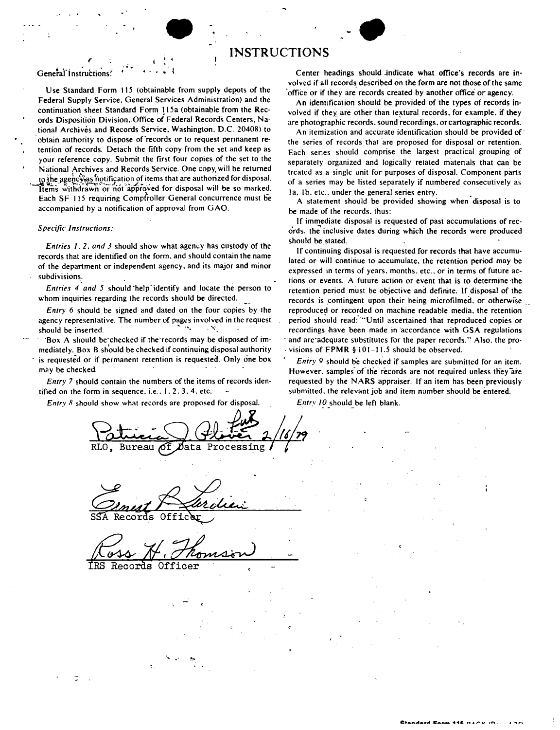# • **INSTRUCTIONS** •

#### <sup>~</sup>I • General Instructions! ...

Use Standard Form 115 (obtainable from supply depots of the Federal Supply Service. General Services Administration) and the continuation sheet Standard Form 115a (obtainable from the Records Disposition Division. Office of Federal Records Centers. National Archives and Records **Service.** Washington. D.C. 20408) to obtain authority to dispose of records or to request permanent retention of records. Detach the fifth copy from the set and **keep** as your reference copy. Submit the first four copies of the set to the National Archives and Records Service. One copy, will be returned to the agency as hotification of items that are authorized for disposal. Items withdrawn or not approved for disposal will be so marked. Each SF 115 requiring Compfroller General concurrence must be accompanied by a notification of approval from GAO.

### *Specific Instructions:*

*Entries 1, 2, and 3 should show what agency has custody of the* records that are identified on the form. and should contain the name of the department or independent agency. and its major and minor subdivisions.

*Entries 4* •*and 5* should 'help· identify and locate the person to whom inquiries regarding the records should be directed.

*Entry* 6 should be signed and dated on the four copies by the agency representative. The number of pages involved in the request should be inserted.  $\mathbb{R}^n$ .  $\mathbb{R}^n$ .

·Box A should be·checked if the·records may be disposed of immediately. Box B should be checked if continuing disposal authority is requested or if permanent retention is requested. Only one box may be checked.

*Entry 7* should contain the numbers of the items of records identified on the form in sequence. i.e.,  $1, 2, 3, 4$ , etc.

*Entry 8* should show what records are proposed for disposal.

Center headings should .indicate what office's records are involved if all records described on the form are not those of the same office or if they are records created by another office or agency.

An identification should be provided of the types of records involved if they are other than textural records, for example, if they are photographic records. sound recordings. or cartographic records.

An itemization and accurate identification should be provided of· the series of records that are proposed for disposal or retention. Each series should comprise the largest practical grouping of separately organized and logically related matenals that can be treated as a single unit for· purposes of disposal. Component parts of a series may be listed separately if numbered consecutively as 1a, 1b. etc., under the general series entry.

A statement should be provided showing when disposal is to be made of the records. thus:

If immediate disposal is requested of past accumulations of records, the inclusive dates during which the records were produced should be stated.

If continuing disposal is requested for records that have accumulated or will continue to accumulate. the retention period may be expressed in terms of years, months, etc., or in terms of future actions or events. A future action or event that is to determine ·the retention period must be objective and definite. If disposal of the records is contingent upon their being microfilmed. or otherwise reproduced or recorded on machine readable media. the retention period should read: "'Until ascertained that reproduced copies or recordings have been made in accordance with GSA regulations and are adequate substitutes for the paper records." Also, the pro-. visions of **FPMR** § 101-11.5 should be observed.

*Entry 9* should be checked if samples are submitted for an item. However, samples of the records are not required unless they are requested by the N ARS appraiser. If an item has been previously submitted. the relevant job and item number should be entered.

Entry 10 should be left blank.

Bureau ËЯ

SSA Records Officer

Records Officer